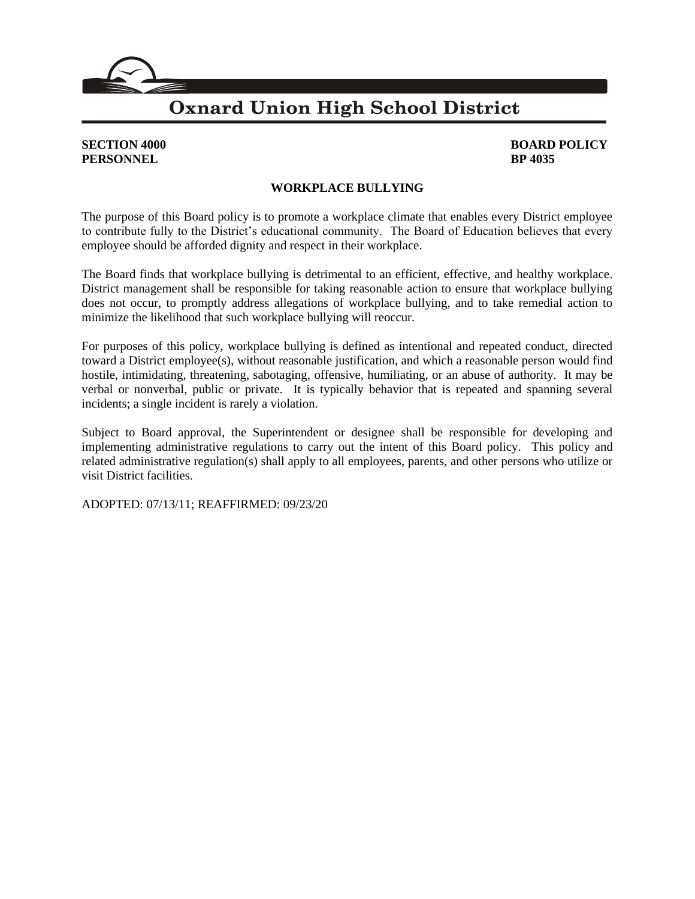### **Oxnard Union High School District**

## **PERSONNEL BP** 4035

# **SECTION 4000 BOARD POLICY**

#### **WORKPLACE BULLYING**

The purpose of this Board policy is to promote a workplace climate that enables every District employee to contribute fully to the District's educational community. The Board of Education believes that every employee should be afforded dignity and respect in their workplace.

The Board finds that workplace bullying is detrimental to an efficient, effective, and healthy workplace. District management shall be responsible for taking reasonable action to ensure that workplace bullying does not occur, to promptly address allegations of workplace bullying, and to take remedial action to minimize the likelihood that such workplace bullying will reoccur.

For purposes of this policy, workplace bullying is defined as intentional and repeated conduct, directed toward a District employee(s), without reasonable justification, and which a reasonable person would find hostile, intimidating, threatening, sabotaging, offensive, humiliating, or an abuse of authority. It may be verbal or nonverbal, public or private. It is typically behavior that is repeated and spanning several incidents; a single incident is rarely a violation.

Subject to Board approval, the Superintendent or designee shall be responsible for developing and implementing administrative regulations to carry out the intent of this Board policy. This policy and related administrative regulation(s) shall apply to all employees, parents, and other persons who utilize or visit District facilities.

ADOPTED: 07/13/11; REAFFIRMED: 09/23/20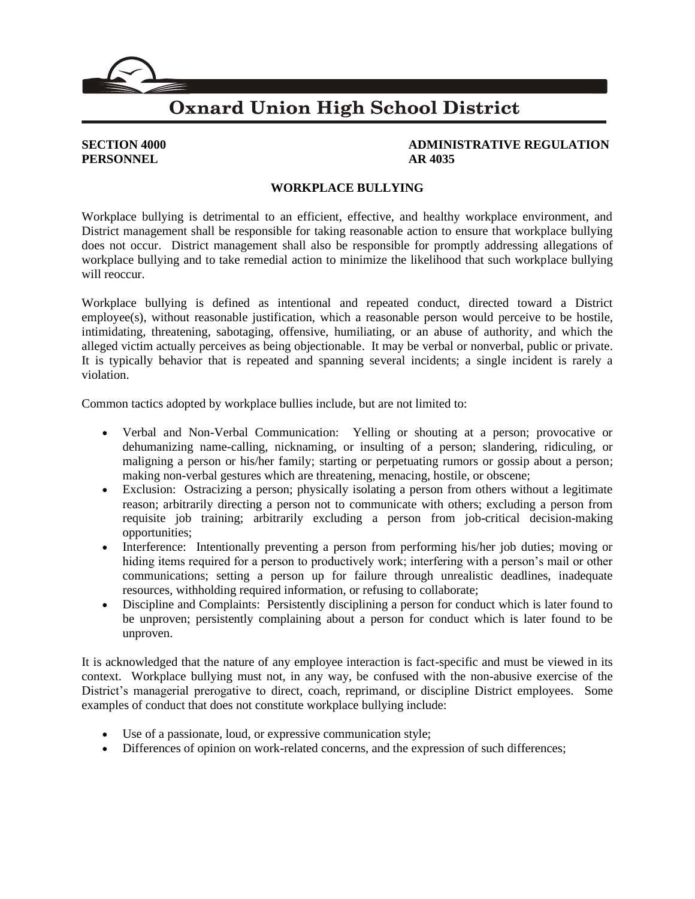### **Oxnard Union High School District**

## **PERSONNEL** AR 4035

## **SECTION 4000 ADMINISTRATIVE REGULATION**

#### **WORKPLACE BULLYING**

Workplace bullying is detrimental to an efficient, effective, and healthy workplace environment, and District management shall be responsible for taking reasonable action to ensure that workplace bullying does not occur. District management shall also be responsible for promptly addressing allegations of workplace bullying and to take remedial action to minimize the likelihood that such workplace bullying will reoccur.

Workplace bullying is defined as intentional and repeated conduct, directed toward a District employee(s), without reasonable justification, which a reasonable person would perceive to be hostile, intimidating, threatening, sabotaging, offensive, humiliating, or an abuse of authority, and which the alleged victim actually perceives as being objectionable. It may be verbal or nonverbal, public or private. It is typically behavior that is repeated and spanning several incidents; a single incident is rarely a violation.

Common tactics adopted by workplace bullies include, but are not limited to:

- Verbal and Non-Verbal Communication: Yelling or shouting at a person; provocative or dehumanizing name-calling, nicknaming, or insulting of a person; slandering, ridiculing, or maligning a person or his/her family; starting or perpetuating rumors or gossip about a person; making non-verbal gestures which are threatening, menacing, hostile, or obscene;
- Exclusion: Ostracizing a person; physically isolating a person from others without a legitimate reason; arbitrarily directing a person not to communicate with others; excluding a person from requisite job training; arbitrarily excluding a person from job-critical decision-making opportunities;
- Interference: Intentionally preventing a person from performing his/her job duties; moving or hiding items required for a person to productively work; interfering with a person's mail or other communications; setting a person up for failure through unrealistic deadlines, inadequate resources, withholding required information, or refusing to collaborate;
- Discipline and Complaints: Persistently disciplining a person for conduct which is later found to be unproven; persistently complaining about a person for conduct which is later found to be unproven.

It is acknowledged that the nature of any employee interaction is fact-specific and must be viewed in its context. Workplace bullying must not, in any way, be confused with the non-abusive exercise of the District's managerial prerogative to direct, coach, reprimand, or discipline District employees. Some examples of conduct that does not constitute workplace bullying include:

- Use of a passionate, loud, or expressive communication style;
- Differences of opinion on work-related concerns, and the expression of such differences;